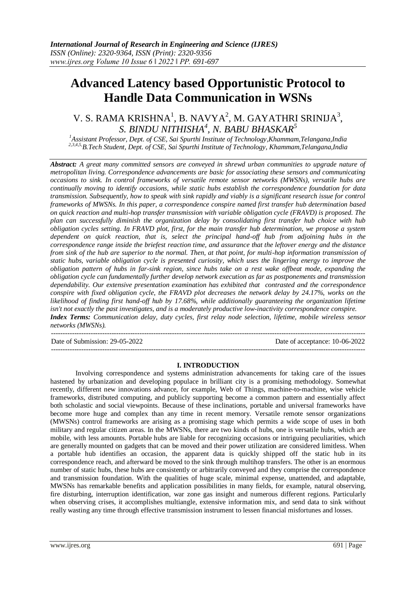# **Advanced Latency based Opportunistic Protocol to Handle Data Communication in WSNs**

## V. S. RAMA KRISHNA<sup>1</sup>, B. NAVYA<sup>2</sup>, M. GAYATHRI SRINIJA<sup>3</sup>, *S. BINDU NITHISHA<sup>4</sup> , N. BABU BHASKAR<sup>5</sup>*

*<sup>1</sup>Assistant Professor, Dept. of CSE, Sai Spurthi Institute of Technology,Khammam,Telangana,India 2,3,4,5,B.Tech Student, Dept. of CSE, Sai Spurthi Institute of Technology, Khammam,Telangana,India*

*Abstract: A great many committed sensors are conveyed in shrewd urban communities to upgrade nature of metropolitan living. Correspondence advancements are basic for associating these sensors and communicating occasions to sink. In control frameworks of versatile remote sensor networks (MWSNs), versatile hubs are continually moving to identify occasions, while static hubs establish the correspondence foundation for data transmission. Subsequently, how to speak with sink rapidly and viably is a significant research issue for control frameworks of MWSNs. In this paper, a correspondence conspire named first transfer hub determination based on quick reaction and multi-hop transfer transmission with variable obligation cycle (FRAVD) is proposed. The plan can successfully diminish the organization delay by consolidating first transfer hub choice with hub obligation cycles setting. In FRAVD plot, first, for the main transfer hub determination, we propose a system dependent on quick reaction, that is, select the principal hand-off hub from adjoining hubs in the correspondence range inside the briefest reaction time, and assurance that the leftover energy and the distance from sink of the hub are superior to the normal. Then, at that point, for multi-hop information transmission of static hubs, variable obligation cycle is presented curiosity, which uses the lingering energy to improve the obligation pattern of hubs in far-sink region, since hubs take on a rest wake offbeat mode, expanding the obligation cycle can fundamentally further develop network execution as far as postponements and transmission dependability. Our extensive presentation examination has exhibited that contrasted and the correspondence conspire with fixed obligation cycle, the FRAVD plot decreases the network delay by 24.17%, works on the likelihood of finding first hand-off hub by 17.68%, while additionally guaranteeing the organization lifetime isn't not exactly the past investigates, and is a moderately productive low-inactivity correspondence conspire. Index Terms: Communication delay, duty cycles, first relay node selection, lifetime, mobile wireless sensor networks (MWSNs).*

| Date of Submission: 29-05-2022 | Date of acceptance: 10-06-2022 |
|--------------------------------|--------------------------------|
|                                |                                |

#### **I. INTRODUCTION**

Involving correspondence and systems administration advancements for taking care of the issues hastened by urbanization and developing populace in brilliant city is a promising methodology. Somewhat recently, different new innovations advance, for example, Web of Things, machine-to-machine, wise vehicle frameworks, distributed computing, and publicly supporting become a common pattern and essentially affect both scholastic and social viewpoints. Because of these inclinations, portable and universal frameworks have become more huge and complex than any time in recent memory. Versatile remote sensor organizations (MWSNs) control frameworks are arising as a promising stage which permits a wide scope of uses in both military and regular citizen areas. In the MWSNs, there are two kinds of hubs, one is versatile hubs, which are mobile, with less amounts. Portable hubs are liable for recognizing occasions or intriguing peculiarities, which are generally mounted on gadgets that can be moved and their power utilization are considered limitless. When a portable hub identifies an occasion, the apparent data is quickly shipped off the static hub in its correspondence reach, and afterward be moved to the sink through multihop transfers. The other is an enormous number of static hubs, these hubs are consistently or arbitrarily conveyed and they comprise the correspondence and transmission foundation. With the qualities of huge scale, minimal expense, unattended, and adaptable, MWSNs has remarkable benefits and application possibilities in many fields, for example, natural observing, fire disturbing, interruption identification, war zone gas insight and numerous different regions. Particularly when observing crises, it accomplishes multiangle, extensive information mix, and send data to sink without really wasting any time through effective transmission instrument to lessen financial misfortunes and losses.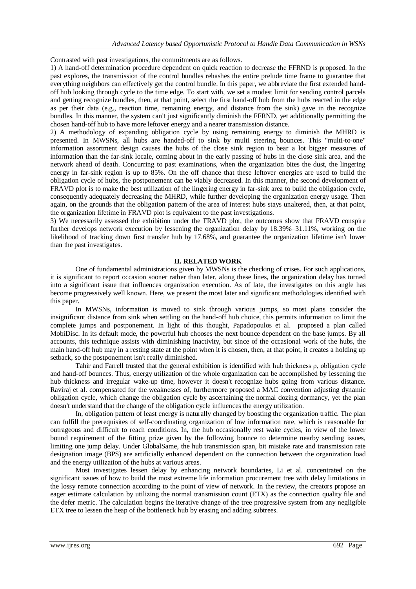Contrasted with past investigations, the commitments are as follows.

1) A hand-off determination procedure dependent on quick reaction to decrease the FFRND is proposed. In the past explores, the transmission of the control bundles rehashes the entire prelude time frame to guarantee that everything neighbors can effectively get the control bundle. In this paper, we abbreviate the first extended handoff hub looking through cycle to the time edge. To start with, we set a modest limit for sending control parcels and getting recognize bundles, then, at that point, select the first hand-off hub from the hubs reacted in the edge as per their data (e.g., reaction time, remaining energy, and distance from the sink) gave in the recognize bundles. In this manner, the system can't just significantly diminish the FFRND, yet additionally permitting the chosen hand-off hub to have more leftover energy and a nearer transmission distance.

2) A methodology of expanding obligation cycle by using remaining energy to diminish the MHRD is presented. In MWSNs, all hubs are handed-off to sink by multi steering bounces. This "multi-to-one" information assortment design causes the hubs of the close sink region to bear a lot bigger measures of information than the far-sink locale, coming about in the early passing of hubs in the close sink area, and the network ahead of death. Concurring to past examinations, when the organization bites the dust, the lingering energy in far-sink region is up to 85%. On the off chance that these leftover energies are used to build the obligation cycle of hubs, the postponement can be viably decreased. In this manner, the second development of FRAVD plot is to make the best utilization of the lingering energy in far-sink area to build the obligation cycle, consequently adequately decreasing the MHRD, while further developing the organization energy usage. Then again, on the grounds that the obligation pattern of the area of interest hubs stays unaltered, then, at that point, the organization lifetime in FRAVD plot is equivalent to the past investigations.

3) We necessarily assessed the exhibition under the FRAVD plot, the outcomes show that FRAVD conspire further develops network execution by lessening the organization delay by 18.39%–31.11%, working on the likelihood of tracking down first transfer hub by 17.68%, and guarantee the organization lifetime isn't lower than the past investigates.

#### **II. RELATED WORK**

One of fundamental administrations given by MWSNs is the checking of crises. For such applications, it is significant to report occasion sooner rather than later, along these lines, the organization delay has turned into a significant issue that influences organization execution. As of late, the investigates on this angle has become progressively well known. Here, we present the most later and significant methodologies identified with this paper.

In MWSNs, information is moved to sink through various jumps, so most plans consider the insignificant distance from sink when settling on the hand-off hub choice, this permits information to limit the complete jumps and postponement. In light of this thought, Papadopoulos et al. proposed a plan called MobiDisc. In its default mode, the powerful hub chooses the next bounce dependent on the base jumps. By all accounts, this technique assists with diminishing inactivity, but since of the occasional work of the hubs, the main hand-off hub may in a resting state at the point when it is chosen, then, at that point, it creates a holding up setback, so the postponement isn't really diminished.

Tahir and Farrell trusted that the general exhibition is identified with hub thickness ρ, obligation cycle and hand-off bounces. Thus, energy utilization of the whole organization can be accomplished by lessening the hub thickness and irregular wake-up time, however it doesn't recognize hubs going from various distance. Raviraj et al. compensated for the weaknesses of, furthermore proposed a MAC convention adjusting dynamic obligation cycle, which change the obligation cycle by ascertaining the normal dozing dormancy, yet the plan doesn't understand that the change of the obligation cycle influences the energy utilization.

In, obligation pattern of least energy is naturally changed by boosting the organization traffic. The plan can fulfill the prerequisites of self-coordinating organization of low information rate, which is reasonable for outrageous and difficult to reach conditions. In, the hub occasionally rest wake cycles, in view of the lower bound requirement of the fitting prize given by the following bounce to determine nearby sending issues, limiting one jump delay. Under GlobalSame, the hub transmission span, bit mistake rate and transmission rate designation image (BPS) are artificially enhanced dependent on the connection between the organization load and the energy utilization of the hubs at various areas.

Most investigates lessen delay by enhancing network boundaries, Li et al. concentrated on the significant issues of how to build the most extreme life information procurement tree with delay limitations in the lossy remote connection according to the point of view of network. In the review, the creators propose an eager estimate calculation by utilizing the normal transmission count (ETX) as the connection quality file and the defer metric. The calculation begins the iterative change of the tree progressive system from any negligible ETX tree to lessen the heap of the bottleneck hub by erasing and adding subtrees.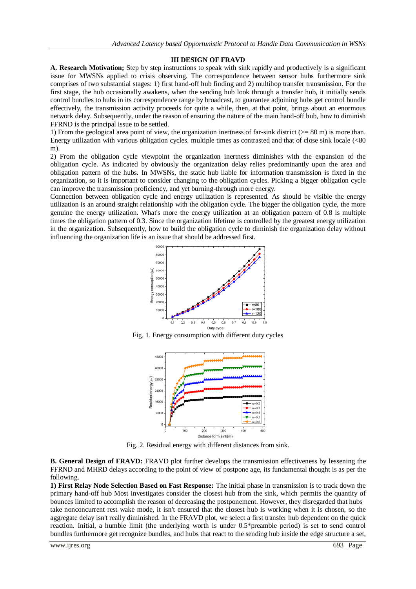#### **III DESIGN OF FRAVD**

**A. Research Motivation;** Step by step instructions to speak with sink rapidly and productively is a significant issue for MWSNs applied to crisis observing. The correspondence between sensor hubs furthermore sink comprises of two substantial stages: 1) first hand-off hub finding and 2) multihop transfer transmission. For the first stage, the hub occasionally awakens, when the sending hub look through a transfer hub, it initially sends control bundles to hubs in its correspondence range by broadcast, to guarantee adjoining hubs get control bundle effectively, the transmission activity proceeds for quite a while, then, at that point, brings about an enormous network delay. Subsequently, under the reason of ensuring the nature of the main hand-off hub, how to diminish FFRND is the principal issue to be settled.

1) From the geological area point of view, the organization inertness of far-sink district  $(>= 80 \text{ m})$  is more than. Energy utilization with various obligation cycles. multiple times as contrasted and that of close sink locale (<80 m).

2) From the obligation cycle viewpoint the organization inertness diminishes with the expansion of the obligation cycle. As indicated by obviously the organization delay relies predominantly upon the area and obligation pattern of the hubs. In MWSNs, the static hub liable for information transmission is fixed in the organization, so it is important to consider changing to the obligation cycles. Picking a bigger obligation cycle can improve the transmission proficiency, and yet burning-through more energy.

Connection between obligation cycle and energy utilization is represented. As should be visible the energy utilization is an around straight relationship with the obligation cycle. The bigger the obligation cycle, the more genuine the energy utilization. What's more the energy utilization at an obligation pattern of 0.8 is multiple times the obligation pattern of 0.3. Since the organization lifetime is controlled by the greatest energy utilization in the organization. Subsequently, how to build the obligation cycle to diminish the organization delay without influencing the organization life is an issue that should be addressed first.



Fig. 1. Energy consumption with different duty cycles



Fig. 2. Residual energy with different distances from sink.

**B. General Design of FRAVD:** FRAVD plot further develops the transmission effectiveness by lessening the FFRND and MHRD delays according to the point of view of postpone age, its fundamental thought is as per the following.

**1) First Relay Node Selection Based on Fast Response:** The initial phase in transmission is to track down the primary hand-off hub Most investigates consider the closest hub from the sink, which permits the quantity of bounces limited to accomplish the reason of decreasing the postponement. However, they disregarded that hubs take nonconcurrent rest wake mode, it isn't ensured that the closest hub is working when it is chosen, so the aggregate delay isn't really diminished. In the FRAVD plot, we select a first transfer hub dependent on the quick reaction. Initial, a humble limit (the underlying worth is under 0.5\*preamble period) is set to send control bundles furthermore get recognize bundles, and hubs that react to the sending hub inside the edge structure a set,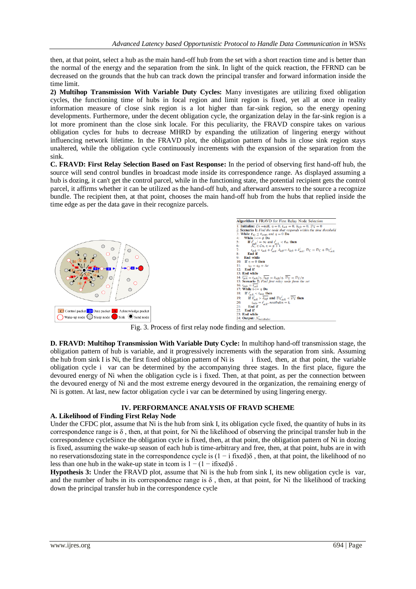then, at that point, select a hub as the main hand-off hub from the set with a short reaction time and is better than the normal of the energy and the separation from the sink. In light of the quick reaction, the FFRND can be decreased on the grounds that the hub can track down the principal transfer and forward information inside the time limit.

**2) Multihop Transmission With Variable Duty Cycles:** Many investigates are utilizing fixed obligation cycles, the functioning time of hubs in focal region and limit region is fixed, yet all at once in reality information measure of close sink region is a lot higher than far-sink region, so the energy opening developments. Furthermore, under the decent obligation cycle, the organization delay in the far-sink region is a lot more prominent than the close sink locale. For this peculiarity, the FRAVD conspire takes on various obligation cycles for hubs to decrease MHRD by expanding the utilization of lingering energy without influencing network lifetime. In the FRAVD plot, the obligation pattern of hubs in close sink region stays unaltered, while the obligation cycle continuously increments with the expansion of the separation from the sink.

**C. FRAVD: First Relay Selection Based on Fast Response:** In the period of observing first hand-off hub, the source will send control bundles in broadcast mode inside its correspondence range. As displayed assuming a hub is dozing, it can't get the control parcel, while in the functioning state, the potential recipient gets the control parcel, it affirms whether it can be utilized as the hand-off hub, and afterward answers to the source a recognize bundle. The recipient then, at that point, chooses the main hand-off hub from the hubs that replied inside the time edge as per the data gave in their recognize parcels.



Fig. 3. Process of first relay node finding and selection.

**D. FRAVD: Multihop Transmission With Variable Duty Cycle:** In multihop hand-off transmission stage, the obligation pattern of hub is variable, and it progressively increments with the separation from sink. Assuming the hub from sink I is Ni, the first fixed obligation pattern of Ni is i fixed, then, at that point, the variable obligation cycle ivar can be determined by the accompanying three stages. In the first place, figure the devoured energy of Ni when the obligation cycle is i fixed. Then, at that point, as per the connection between the devoured energy of Ni and the most extreme energy devoured in the organization, the remaining energy of Ni is gotten. At last, new factor obligation cycle i var can be determined by using lingering energy.

#### **IV. PERFORMANCE ANALYSIS OF FRAVD SCHEME**

#### **A. Likelihood of Finding First Relay Node**

Under the CFDC plot, assume that Ni is the hub from sink I, its obligation cycle fixed, the quantity of hubs in its correspondence range is  $\delta$ , then, at that point, for Ni the likelihood of observing the principal transfer hub in the correspondence cycleSince the obligation cycle is fixed, then, at that point, the obligation pattern of Ni in dozing is fixed, assuming the wake-up season of each hub is time-arbitrary and free, then, at that point, hubs are in with no reservationsdozing state in the correspondence cycle is  $(1 - i \text{ fixed})\delta$ , then, at that point, the likelihood of no less than one hub in the wake-up state in tcom is  $1 - (1 - \text{ifixed})\delta$ .

**Hypothesis 3:** Under the FRAVD plot, assume that Ni is the hub from sink I, its new obligation cycle is var, and the number of hubs in its correspondence range is  $\delta$ , then, at that point, for Ni the likelihood of tracking down the principal transfer hub in the correspondence cycle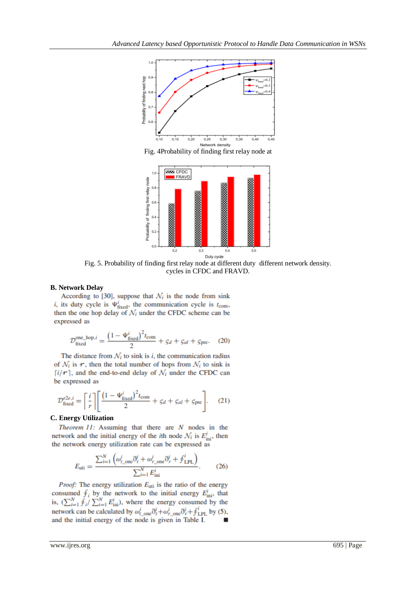

Fig. 4Probability of finding first relay node at



Duty cycle Fig. 5. Probability of finding first relay node at different duty different network density. cycles in CFDC and FRAVD.

#### **B. Network Delay**

According to [30], suppose that  $\mathcal{N}_i$  is the node from sink *i*, its duty cycle is  $\Psi_{\text{fixed}}^i$ , the communication cycle is  $t_{\text{com}}$ , then the one hop delay of  $\mathcal{N}_i$  under the CFDC scheme can be expressed as

$$
\mathcal{D}_{\text{fixed}}^{\text{one\_hop}, i} = \frac{\left(1 - \Psi_{\text{fixed}}^i\right)^2 t_{\text{com}}}{2} + \varsigma_d + \varsigma_{al} + \varsigma_{\text{pre}}.\tag{20}
$$

The distance from  $N_i$  to sink is i, the communication radius of  $\mathcal{N}_i$  is  $\mathcal{F}$ , then the total number of hops from  $\mathcal{N}_i$  to sink is  $[i/r]$ , and the end-to-end delay of  $\mathcal{N}_i$  under the CFDC can be expressed as

$$
\mathcal{D}_{\text{fixed}}^{e2e,i} = \left\lceil \frac{i}{r} \right\rceil \left[ \frac{\left(1 - \Psi_{\text{fixed}}^i\right)^2 t_{\text{com}}}{2} + \varsigma_d + \varsigma_{al} + \varsigma_{\text{pre}} \right]. \tag{21}
$$

#### **C. Energy Utilization**

Theorem 11: Assuming that there are N nodes in the network and the initial energy of the *i*th node  $\mathcal{N}_i$  is  $E^i_{\text{ini}}$ , then the network energy utilization rate can be expressed as

$$
E_{\text{uti}} = \frac{\sum_{i=1}^{N} \left( \omega_{t_{\text{one}}}^{i} \tilde{\sigma}_{t}^{i} + \omega_{r_{\text{one}}}^{i} \tilde{\sigma}_{r}^{i} + \varphi_{\text{LPL}}^{i} \right)}{\sum_{i=1}^{N} E_{\text{ini}}^{i}}.
$$
 (26)

*Proof:* The energy utilization  $E_{\text{uti}}$  is the ratio of the energy consumed  $\oint_i$  by the network to the initial energy  $E_{\text{ini}}^i$ , that is,  $(\sum_{i=1}^{N} \check{f}_i / \sum_{i=1}^{N} E_{\text{ini}}^i)$ , where the energy consumed by the network can be calculated by  $\omega_{t\_one}^i \eth^i_t + \omega_{r\_one}^i \eth^i_r + \oint_{\text{LPL}}^i$  by (5), and the initial energy of the node is given in Table I.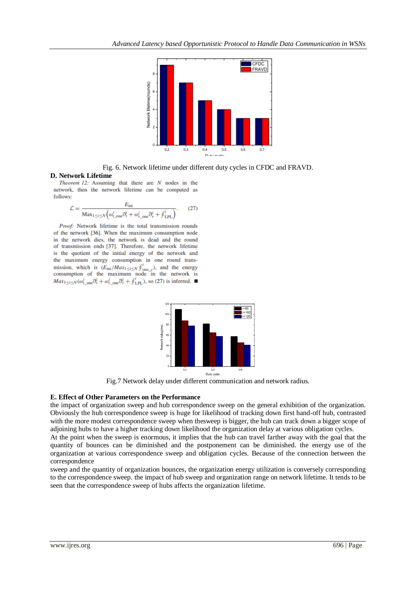



**D. Network Lifetime**<br>*Theorem 12:* Assuming that there are N nodes in the network, then the network lifetime can be computed as follows:

$$
\mathcal{L} = \frac{E_{\text{ini}}}{\text{Max}_{1 \le i \le N} \left( \omega_{t_{\text{cone}}^i}^i \tilde{\sigma}_t^i + \omega_{r_{\text{cone}}^i}^i \tilde{\sigma}_r^i + \oint_{\text{LPL}}^i \right)}.
$$
(27)

Proof: Network lifetime is the total transmission rounds of the network [36]. When the maximum consumption node in the network dies, the network is dead and the round of transmission ends [37]. Therefore, the network lifetime is the quotient of the initial energy of the network and the maximum energy consumption in one round transmission, which is  $(E_{\text{ini}}/Max_{1\leq i\leq N} \oint_{\text{one}_c}^{i}$ , and the energy consumption of the maximum node in the network is  $Max_{1 \le i \le N}(\omega_{t\_one}^i \eth^i_t + \omega_{r\_one}^i \eth^i_r + \oint_{\text{LPL}}^i)$ , so (27) is inferred.



Fig.7 Network delay under different communication and network radius.

### **E. Effect of Other Parameters on the Performance**

the impact of organization sweep and hub correspondence sweep on the general exhibition of the organization. Obviously the hub correspondence sweep is huge for likelihood of tracking down first hand-off hub, contrasted with the more modest correspondence sweep when thesweep is bigger, the hub can track down a bigger scope of adjoining hubs to have a higher tracking down likelihood the organization delay at various obligation cycles.

At the point when the sweep is enormous, it implies that the hub can travel farther away with the goal that the quantity of bounces can be diminished and the postponement can be diminished. the energy use of the organization at various correspondence sweep and obligation cycles. Because of the connection between the correspondence

sweep and the quantity of organization bounces, the organization energy utilization is conversely corresponding to the correspondence sweep. the impact of hub sweep and organization range on network lifetime. It tends to be seen that the correspondence sweep of hubs affects the organization lifetime.